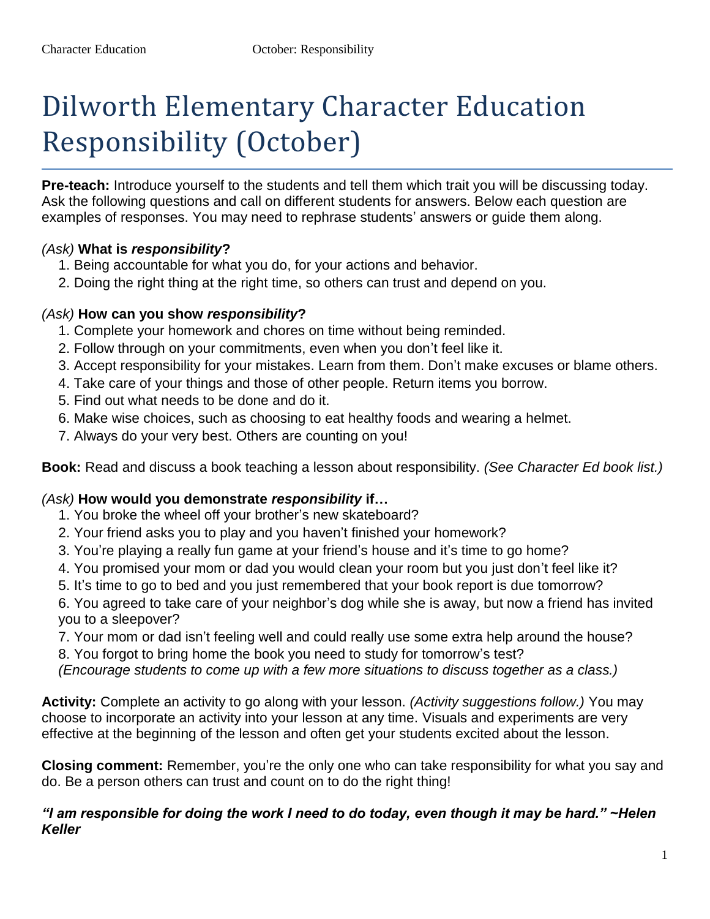# Dilworth Elementary Character Education Responsibility (October)

**Pre-teach:** Introduce yourself to the students and tell them which trait you will be discussing today. Ask the following questions and call on different students for answers. Below each question are examples of responses. You may need to rephrase students' answers or guide them along.

# *(Ask)* **What is** *responsibility***?**

- 1. Being accountable for what you do, for your actions and behavior.
- 2. Doing the right thing at the right time, so others can trust and depend on you.

#### *(Ask)* **How can you show** *responsibility***?**

- 1. Complete your homework and chores on time without being reminded.
- 2. Follow through on your commitments, even when you don't feel like it.
- 3. Accept responsibility for your mistakes. Learn from them. Don't make excuses or blame others.
- 4. Take care of your things and those of other people. Return items you borrow.
- 5. Find out what needs to be done and do it.
- 6. Make wise choices, such as choosing to eat healthy foods and wearing a helmet.
- 7. Always do your very best. Others are counting on you!

**Book:** Read and discuss a book teaching a lesson about responsibility. *(See Character Ed book list.)* 

# *(Ask)* **How would you demonstrate** *responsibility* **if…**

- 1. You broke the wheel off your brother's new skateboard?
- 2. Your friend asks you to play and you haven't finished your homework?
- 3. You're playing a really fun game at your friend's house and it's time to go home?
- 4. You promised your mom or dad you would clean your room but you just don't feel like it?
- 5. It's time to go to bed and you just remembered that your book report is due tomorrow?

6. You agreed to take care of your neighbor's dog while she is away, but now a friend has invited you to a sleepover?

- 7. Your mom or dad isn't feeling well and could really use some extra help around the house?
- 8. You forgot to bring home the book you need to study for tomorrow's test?

*(Encourage students to come up with a few more situations to discuss together as a class.)* 

**Activity:** Complete an activity to go along with your lesson. *(Activity suggestions follow.)* You may choose to incorporate an activity into your lesson at any time. Visuals and experiments are very effective at the beginning of the lesson and often get your students excited about the lesson.

**Closing comment:** Remember, you're the only one who can take responsibility for what you say and do. Be a person others can trust and count on to do the right thing!

#### *"I am responsible for doing the work I need to do today, even though it may be hard." ~Helen Keller*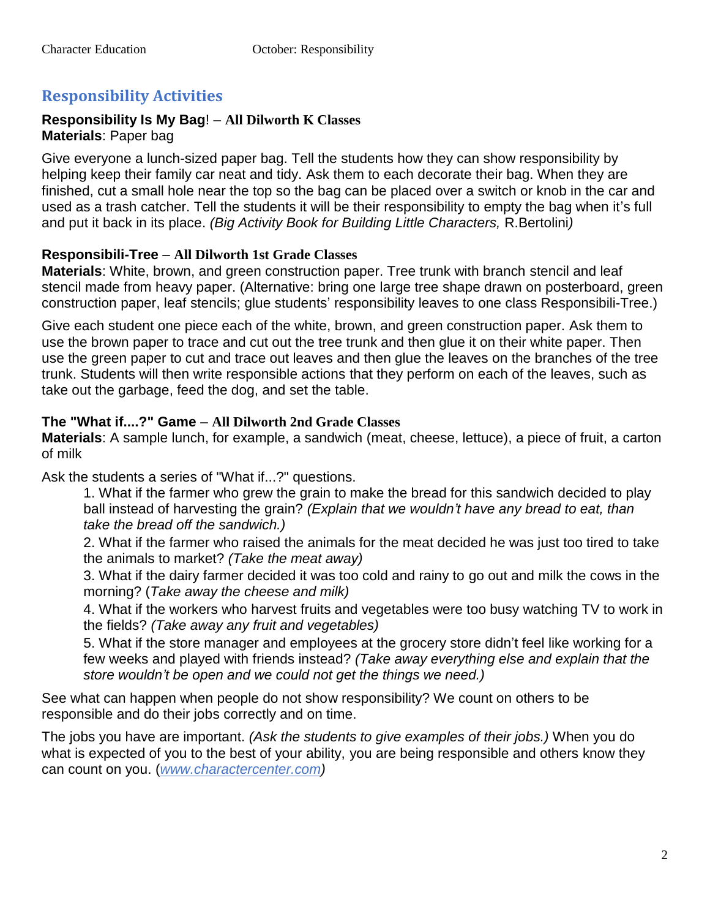# **Responsibility Activities**

#### **Responsibility Is My Bag**! – **All Dilworth K Classes Materials**: Paper bag

Give everyone a lunch-sized paper bag. Tell the students how they can show responsibility by helping keep their family car neat and tidy. Ask them to each decorate their bag. When they are finished, cut a small hole near the top so the bag can be placed over a switch or knob in the car and used as a trash catcher. Tell the students it will be their responsibility to empty the bag when it's full and put it back in its place. *(Big Activity Book for Building Little Characters,* R.Bertolini*)* 

# **Responsibili-Tree** – **All Dilworth 1st Grade Classes**

**Materials**: White, brown, and green construction paper. Tree trunk with branch stencil and leaf stencil made from heavy paper. (Alternative: bring one large tree shape drawn on posterboard, green construction paper, leaf stencils; glue students' responsibility leaves to one class Responsibili-Tree.)

Give each student one piece each of the white, brown, and green construction paper. Ask them to use the brown paper to trace and cut out the tree trunk and then glue it on their white paper. Then use the green paper to cut and trace out leaves and then glue the leaves on the branches of the tree trunk. Students will then write responsible actions that they perform on each of the leaves, such as take out the garbage, feed the dog, and set the table.

#### **The "What if....?" Game** – **All Dilworth 2nd Grade Classes**

**Materials**: A sample lunch, for example, a sandwich (meat, cheese, lettuce), a piece of fruit, a carton of milk

Ask the students a series of "What if...?" questions.

1. What if the farmer who grew the grain to make the bread for this sandwich decided to play ball instead of harvesting the grain? *(Explain that we wouldn't have any bread to eat, than take the bread off the sandwich.)* 

2. What if the farmer who raised the animals for the meat decided he was just too tired to take the animals to market? *(Take the meat away)* 

3. What if the dairy farmer decided it was too cold and rainy to go out and milk the cows in the morning? (*Take away the cheese and milk)* 

4. What if the workers who harvest fruits and vegetables were too busy watching TV to work in the fields? *(Take away any fruit and vegetables)* 

5. What if the store manager and employees at the grocery store didn't feel like working for a few weeks and played with friends instead? *(Take away everything else and explain that the store wouldn't be open and we could not get the things we need.)* 

See what can happen when people do not show responsibility? We count on others to be responsible and do their jobs correctly and on time.

The jobs you have are important. *(Ask the students to give examples of their jobs.)* When you do what is expected of you to the best of your ability, you are being responsible and others know they can count on you. (*www.charactercenter.com)*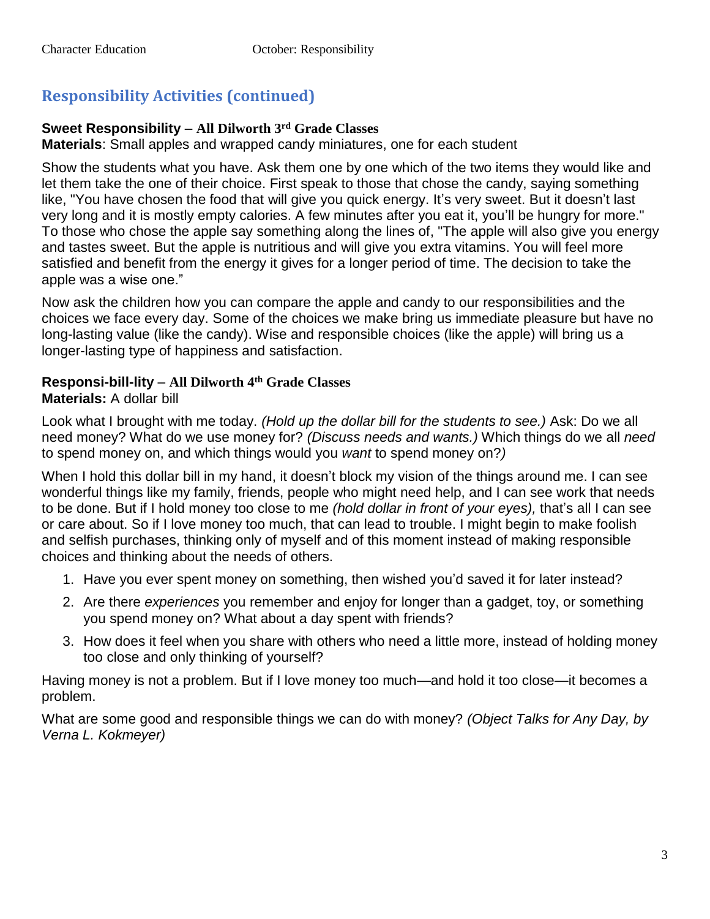# **Responsibility Activities (continued)**

# **Sweet Responsibility** – **All Dilworth 3rd Grade Classes**

**Materials**: Small apples and wrapped candy miniatures, one for each student

Show the students what you have. Ask them one by one which of the two items they would like and let them take the one of their choice. First speak to those that chose the candy, saying something like, "You have chosen the food that will give you quick energy. It's very sweet. But it doesn't last very long and it is mostly empty calories. A few minutes after you eat it, you'll be hungry for more." To those who chose the apple say something along the lines of, "The apple will also give you energy and tastes sweet. But the apple is nutritious and will give you extra vitamins. You will feel more satisfied and benefit from the energy it gives for a longer period of time. The decision to take the apple was a wise one."

Now ask the children how you can compare the apple and candy to our responsibilities and the choices we face every day. Some of the choices we make bring us immediate pleasure but have no long-lasting value (like the candy). Wise and responsible choices (like the apple) will bring us a longer-lasting type of happiness and satisfaction.

# **Responsi-bill-lity** – **All Dilworth 4 th Grade Classes**

# **Materials:** A dollar bill

Look what I brought with me today. *(Hold up the dollar bill for the students to see.)* Ask: Do we all need money? What do we use money for? *(Discuss needs and wants.)* Which things do we all *need* to spend money on, and which things would you *want* to spend money on?*)* 

When I hold this dollar bill in my hand, it doesn't block my vision of the things around me. I can see wonderful things like my family, friends, people who might need help, and I can see work that needs to be done. But if I hold money too close to me *(hold dollar in front of your eyes),* that's all I can see or care about. So if I love money too much, that can lead to trouble. I might begin to make foolish and selfish purchases, thinking only of myself and of this moment instead of making responsible choices and thinking about the needs of others.

- 1. Have you ever spent money on something, then wished you'd saved it for later instead?
- 2. Are there *experiences* you remember and enjoy for longer than a gadget, toy, or something you spend money on? What about a day spent with friends?
- 3. How does it feel when you share with others who need a little more, instead of holding money too close and only thinking of yourself?

Having money is not a problem. But if I love money too much—and hold it too close—it becomes a problem.

What are some good and responsible things we can do with money? *(Object Talks for Any Day, by Verna L. Kokmeyer)*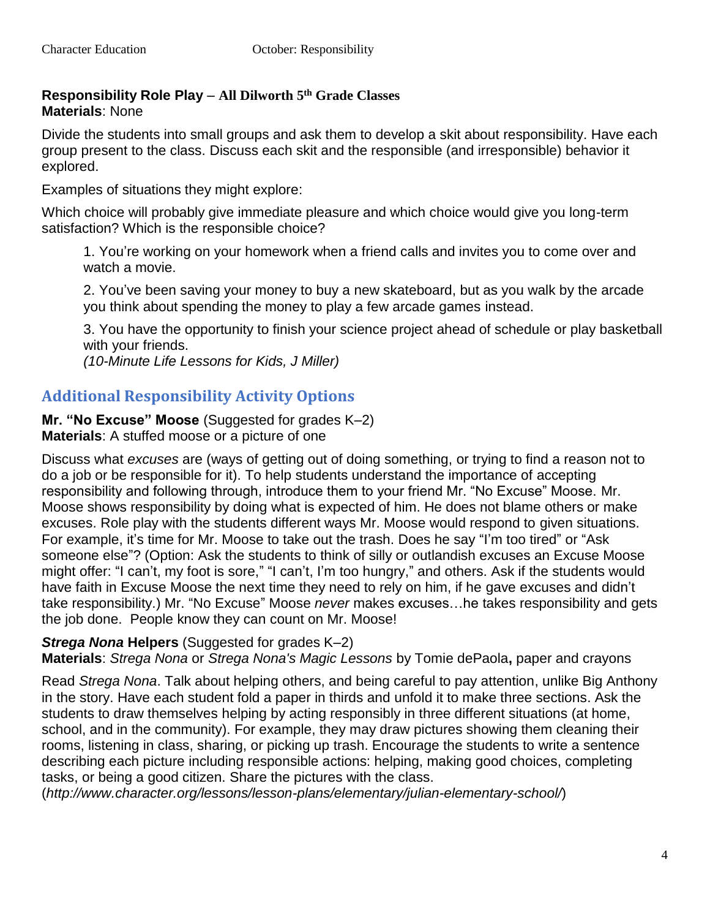# **Responsibility Role Play** – **All Dilworth 5th Grade Classes Materials**: None

Divide the students into small groups and ask them to develop a skit about responsibility. Have each group present to the class. Discuss each skit and the responsible (and irresponsible) behavior it explored.

Examples of situations they might explore:

Which choice will probably give immediate pleasure and which choice would give you long-term satisfaction? Which is the responsible choice?

1. You're working on your homework when a friend calls and invites you to come over and watch a movie.

2. You've been saving your money to buy a new skateboard, but as you walk by the arcade you think about spending the money to play a few arcade games instead.

3. You have the opportunity to finish your science project ahead of schedule or play basketball with your friends.

*(10-Minute Life Lessons for Kids, J Miller)* 

# **Additional Responsibility Activity Options**

**Mr. "No Excuse" Moose** (Suggested for grades K–2) **Materials**: A stuffed moose or a picture of one

Discuss what *excuses* are (ways of getting out of doing something, or trying to find a reason not to do a job or be responsible for it). To help students understand the importance of accepting responsibility and following through, introduce them to your friend Mr. "No Excuse" Moose. Mr. Moose shows responsibility by doing what is expected of him. He does not blame others or make excuses. Role play with the students different ways Mr. Moose would respond to given situations. For example, it's time for Mr. Moose to take out the trash. Does he say "I'm too tired" or "Ask someone else"? (Option: Ask the students to think of silly or outlandish excuses an Excuse Moose might offer: "I can't, my foot is sore," "I can't, I'm too hungry," and others. Ask if the students would have faith in Excuse Moose the next time they need to rely on him, if he gave excuses and didn't take responsibility.) Mr. "No Excuse" Moose *never* makes excuses…he takes responsibility and gets the job done. People know they can count on Mr. Moose!

#### *Strega Nona* **Helpers** (Suggested for grades K–2)

**Materials**: *Strega Nona* or *Strega Nona's Magic Lessons* by Tomie dePaola**,** paper and crayons

Read *Strega Nona*. Talk about helping others, and being careful to pay attention, unlike Big Anthony in the story. Have each student fold a paper in thirds and unfold it to make three sections. Ask the students to draw themselves helping by acting responsibly in three different situations (at home, school, and in the community). For example, they may draw pictures showing them cleaning their rooms, listening in class, sharing, or picking up trash. Encourage the students to write a sentence describing each picture including responsible actions: helping, making good choices, completing tasks, or being a good citizen. Share the pictures with the class.

(*http://www.character.org/lessons/lesson-plans/elementary/julian-elementary-school/*)